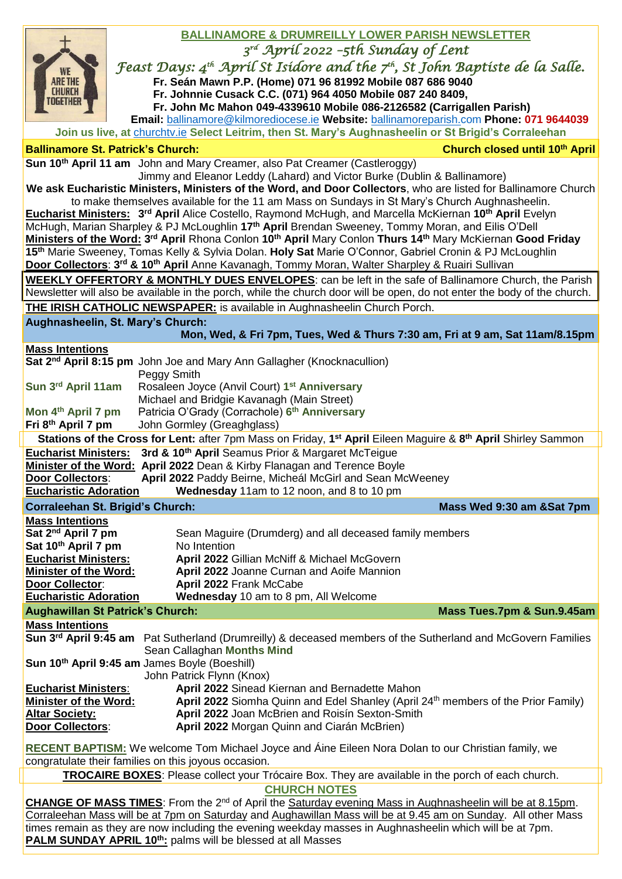|                                                                                                                                                                                                                                  | <b>BALLINAMORE &amp; DRUMREILLY LOWER PARISH NEWSLETTER</b>                                                                                                                                                                                                                                     |                                |  |  |  |
|----------------------------------------------------------------------------------------------------------------------------------------------------------------------------------------------------------------------------------|-------------------------------------------------------------------------------------------------------------------------------------------------------------------------------------------------------------------------------------------------------------------------------------------------|--------------------------------|--|--|--|
|                                                                                                                                                                                                                                  | $3^{rd}$ Apríl 2022 -5th Sunday of Lent                                                                                                                                                                                                                                                         |                                |  |  |  |
| <b>WE</b>                                                                                                                                                                                                                        | Feast Days: 4 <sup>th</sup> April St Isidore and the 7 <sup>th</sup> , St John Baptiste de la Salle.                                                                                                                                                                                            |                                |  |  |  |
| <b>ARE THE</b>                                                                                                                                                                                                                   | Fr. Seán Mawn P.P. (Home) 071 96 81992 Mobile 087 686 9040                                                                                                                                                                                                                                      |                                |  |  |  |
| <b>CHURCH</b><br>Together                                                                                                                                                                                                        | Fr. Johnnie Cusack C.C. (071) 964 4050 Mobile 087 240 8409,                                                                                                                                                                                                                                     |                                |  |  |  |
|                                                                                                                                                                                                                                  | Fr. John Mc Mahon 049-4339610 Mobile 086-2126582 (Carrigallen Parish)                                                                                                                                                                                                                           |                                |  |  |  |
|                                                                                                                                                                                                                                  | Email: ballinamore@kilmorediocese.ie Website: ballinamoreparish.com Phone: 071 9644039<br>Join us live, at churchtv.ie Select Leitrim, then St. Mary's Aughnasheelin or St Brigid's Corraleehan                                                                                                 |                                |  |  |  |
|                                                                                                                                                                                                                                  | <b>Ballinamore St. Patrick's Church:</b>                                                                                                                                                                                                                                                        | Church closed until 10th April |  |  |  |
|                                                                                                                                                                                                                                  | Sun 10 <sup>th</sup> April 11 am John and Mary Creamer, also Pat Creamer (Castleroggy)                                                                                                                                                                                                          |                                |  |  |  |
|                                                                                                                                                                                                                                  | Jimmy and Eleanor Leddy (Lahard) and Victor Burke (Dublin & Ballinamore)                                                                                                                                                                                                                        |                                |  |  |  |
| We ask Eucharistic Ministers, Ministers of the Word, and Door Collectors, who are listed for Ballinamore Church                                                                                                                  |                                                                                                                                                                                                                                                                                                 |                                |  |  |  |
| to make themselves available for the 11 am Mass on Sundays in St Mary's Church Aughnasheelin.<br>Eucharist Ministers: 3 <sup>rd</sup> April Alice Costello, Raymond McHugh, and Marcella McKiernan 10 <sup>th</sup> April Evelyn |                                                                                                                                                                                                                                                                                                 |                                |  |  |  |
|                                                                                                                                                                                                                                  | McHugh, Marian Sharpley & PJ McLoughlin 17 <sup>th</sup> April Brendan Sweeney, Tommy Moran, and Eilis O'Dell                                                                                                                                                                                   |                                |  |  |  |
|                                                                                                                                                                                                                                  | Ministers of the Word: 3 <sup>rd</sup> April Rhona Conlon 10 <sup>th</sup> April Mary Conlon Thurs 14 <sup>th</sup> Mary McKiernan Good Friday                                                                                                                                                  |                                |  |  |  |
|                                                                                                                                                                                                                                  | 15th Marie Sweeney, Tomas Kelly & Sylvia Dolan. Holy Sat Marie O'Connor, Gabriel Cronin & PJ McLoughlin                                                                                                                                                                                         |                                |  |  |  |
|                                                                                                                                                                                                                                  | Door Collectors: 3rd & 10th April Anne Kavanagh, Tommy Moran, Walter Sharpley & Ruairi Sullivan                                                                                                                                                                                                 |                                |  |  |  |
| <b>WEEKLY OFFERTORY &amp; MONTHLY DUES ENVELOPES:</b> can be left in the safe of Ballinamore Church, the Parish                                                                                                                  |                                                                                                                                                                                                                                                                                                 |                                |  |  |  |
| Newsletter will also be available in the porch, while the church door will be open, do not enter the body of the church.                                                                                                         |                                                                                                                                                                                                                                                                                                 |                                |  |  |  |
| THE IRISH CATHOLIC NEWSPAPER: is available in Aughnasheelin Church Porch.                                                                                                                                                        |                                                                                                                                                                                                                                                                                                 |                                |  |  |  |
|                                                                                                                                                                                                                                  | Aughnasheelin, St. Mary's Church:<br>Mon, Wed, & Fri 7pm, Tues, Wed & Thurs 7:30 am, Fri at 9 am, Sat 11am/8.15pm                                                                                                                                                                               |                                |  |  |  |
| <b>Mass Intentions</b>                                                                                                                                                                                                           |                                                                                                                                                                                                                                                                                                 |                                |  |  |  |
|                                                                                                                                                                                                                                  | Sat 2 <sup>nd</sup> April 8:15 pm John Joe and Mary Ann Gallagher (Knocknacullion)                                                                                                                                                                                                              |                                |  |  |  |
|                                                                                                                                                                                                                                  | Peggy Smith                                                                                                                                                                                                                                                                                     |                                |  |  |  |
| Sun 3rd April 11am                                                                                                                                                                                                               | Rosaleen Joyce (Anvil Court) 1 <sup>st</sup> Anniversary<br>Michael and Bridgie Kavanagh (Main Street)                                                                                                                                                                                          |                                |  |  |  |
| Mon 4 <sup>th</sup> April 7 pm                                                                                                                                                                                                   | Patricia O'Grady (Corrachole) 6th Anniversary                                                                                                                                                                                                                                                   |                                |  |  |  |
| Fri 8th April 7 pm                                                                                                                                                                                                               | John Gormley (Greaghglass)                                                                                                                                                                                                                                                                      |                                |  |  |  |
| Stations of the Cross for Lent: after 7pm Mass on Friday, 1 <sup>st</sup> April Eileen Maguire & 8 <sup>th</sup> April Shirley Sammon                                                                                            |                                                                                                                                                                                                                                                                                                 |                                |  |  |  |
|                                                                                                                                                                                                                                  |                                                                                                                                                                                                                                                                                                 |                                |  |  |  |
| <b>Eucharist Ministers:</b>                                                                                                                                                                                                      | 3rd & 10 <sup>th</sup> April Seamus Prior & Margaret McTeigue                                                                                                                                                                                                                                   |                                |  |  |  |
|                                                                                                                                                                                                                                  | Minister of the Word: April 2022 Dean & Kirby Flanagan and Terence Boyle                                                                                                                                                                                                                        |                                |  |  |  |
| Door Collectors:                                                                                                                                                                                                                 | April 2022 Paddy Beirne, Micheál McGirl and Sean McWeeney                                                                                                                                                                                                                                       |                                |  |  |  |
| <b>Eucharistic Adoration</b>                                                                                                                                                                                                     | Wednesday 11am to 12 noon, and 8 to 10 pm                                                                                                                                                                                                                                                       |                                |  |  |  |
| <b>Mass Intentions</b>                                                                                                                                                                                                           | <b>Corraleehan St. Brigid's Church:</b>                                                                                                                                                                                                                                                         | Mass Wed 9:30 am &Sat 7pm      |  |  |  |
| Sat 2 <sup>nd</sup> April 7 pm                                                                                                                                                                                                   | Sean Maguire (Drumderg) and all deceased family members                                                                                                                                                                                                                                         |                                |  |  |  |
| Sat 10 <sup>th</sup> April 7 pm                                                                                                                                                                                                  | No Intention                                                                                                                                                                                                                                                                                    |                                |  |  |  |
| <b>Eucharist Ministers:</b>                                                                                                                                                                                                      | April 2022 Gillian McNiff & Michael McGovern                                                                                                                                                                                                                                                    |                                |  |  |  |
| <b>Minister of the Word:</b>                                                                                                                                                                                                     | April 2022 Joanne Curnan and Aoife Mannion                                                                                                                                                                                                                                                      |                                |  |  |  |
| Door Collector:<br><b>Eucharistic Adoration</b>                                                                                                                                                                                  | April 2022 Frank McCabe<br>Wednesday 10 am to 8 pm, All Welcome                                                                                                                                                                                                                                 |                                |  |  |  |
|                                                                                                                                                                                                                                  | <b>Aughawillan St Patrick's Church:</b>                                                                                                                                                                                                                                                         | Mass Tues.7pm & Sun.9.45am     |  |  |  |
| <b>Mass Intentions</b>                                                                                                                                                                                                           |                                                                                                                                                                                                                                                                                                 |                                |  |  |  |
|                                                                                                                                                                                                                                  | Sun 3rd April 9:45 am Pat Sutherland (Drumreilly) & deceased members of the Sutherland and McGovern Families                                                                                                                                                                                    |                                |  |  |  |
|                                                                                                                                                                                                                                  | Sean Callaghan Months Mind                                                                                                                                                                                                                                                                      |                                |  |  |  |
|                                                                                                                                                                                                                                  | Sun 10 <sup>th</sup> April 9:45 am James Boyle (Boeshill)                                                                                                                                                                                                                                       |                                |  |  |  |
| <b>Eucharist Ministers:</b>                                                                                                                                                                                                      | John Patrick Flynn (Knox)<br>April 2022 Sinead Kiernan and Bernadette Mahon                                                                                                                                                                                                                     |                                |  |  |  |
| <b>Minister of the Word:</b>                                                                                                                                                                                                     | April 2022 Siomha Quinn and Edel Shanley (April 24th members of the Prior Family)                                                                                                                                                                                                               |                                |  |  |  |
| <b>Altar Society:</b>                                                                                                                                                                                                            | April 2022 Joan McBrien and Roisín Sexton-Smith                                                                                                                                                                                                                                                 |                                |  |  |  |
| Door Collectors:                                                                                                                                                                                                                 | April 2022 Morgan Quinn and Ciarán McBrien)                                                                                                                                                                                                                                                     |                                |  |  |  |
|                                                                                                                                                                                                                                  | RECENT BAPTISM: We welcome Tom Michael Joyce and Áine Eileen Nora Dolan to our Christian family, we                                                                                                                                                                                             |                                |  |  |  |
|                                                                                                                                                                                                                                  | congratulate their families on this joyous occasion.                                                                                                                                                                                                                                            |                                |  |  |  |
|                                                                                                                                                                                                                                  | <b>TROCAIRE BOXES:</b> Please collect your Trócaire Box. They are available in the porch of each church.                                                                                                                                                                                        |                                |  |  |  |
|                                                                                                                                                                                                                                  | <b>CHURCH NOTES</b>                                                                                                                                                                                                                                                                             |                                |  |  |  |
|                                                                                                                                                                                                                                  | CHANGE OF MASS TIMES: From the 2 <sup>nd</sup> of April the Saturday evening Mass in Aughnasheelin will be at 8.15pm.                                                                                                                                                                           |                                |  |  |  |
|                                                                                                                                                                                                                                  | Corraleehan Mass will be at 7pm on Saturday and Aughawillan Mass will be at 9.45 am on Sunday. All other Mass<br>times remain as they are now including the evening weekday masses in Aughnasheelin which will be at 7pm.<br><b>PALM SUNDAY APRIL 10th:</b> palms will be blessed at all Masses |                                |  |  |  |